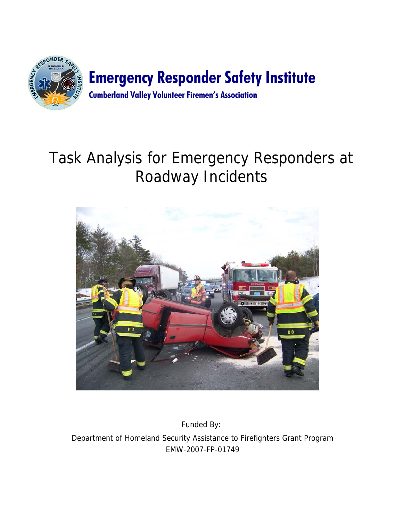

# Task Analysis for Emergency Responders at Roadway Incidents



Funded By:

 Department of Homeland Security Assistance to Firefighters Grant Program EMW-2007-FP-01749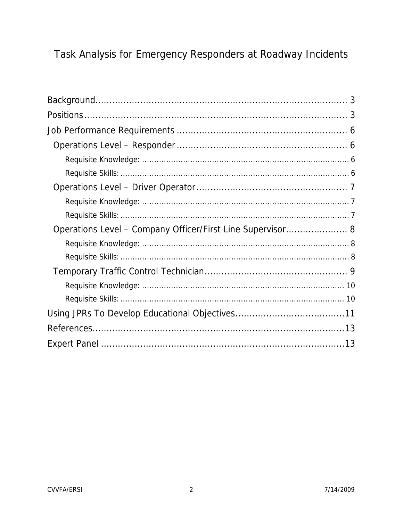## Task Analysis for Emergency Responders at Roadway Incidents

| Operations Level - Company Officer/First Line Supervisor 8 |  |
|------------------------------------------------------------|--|
|                                                            |  |
|                                                            |  |
|                                                            |  |
|                                                            |  |
|                                                            |  |
|                                                            |  |
|                                                            |  |
|                                                            |  |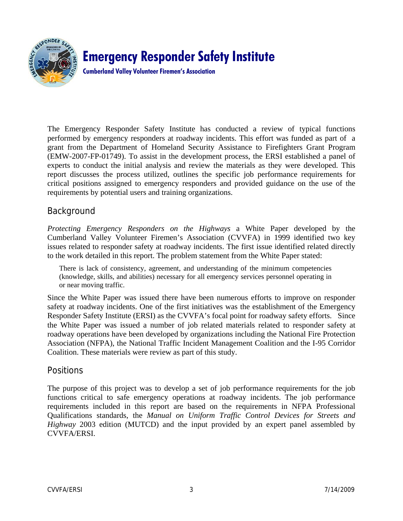

The Emergency Responder Safety Institute has conducted a review of typical functions performed by emergency responders at roadway incidents. This effort was funded as part of a grant from the Department of Homeland Security Assistance to Firefighters Grant Program (EMW-2007-FP-01749). To assist in the development process, the ERSI established a panel of experts to conduct the initial analysis and review the materials as they were developed. This report discusses the process utilized, outlines the specific job performance requirements for critical positions assigned to emergency responders and provided guidance on the use of the requirements by potential users and training organizations.

## <span id="page-2-0"></span>Background

*Protecting Emergency Responders on the Highways* a White Paper developed by the Cumberland Valley Volunteer Firemen's Association (CVVFA) in 1999 identified two key issues related to responder safety at roadway incidents. The first issue identified related directly to the work detailed in this report. The problem statement from the White Paper stated:

There is lack of consistency, agreement, and understanding of the minimum competencies (knowledge, skills, and abilities) necessary for all emergency services personnel operating in or near moving traffic.

Since the White Paper was issued there have been numerous efforts to improve on responder safety at roadway incidents. One of the first initiatives was the establishment of the Emergency Responder Safety Institute (ERSI) as the CVVFA's focal point for roadway safety efforts. Since the White Paper was issued a number of job related materials related to responder safety at roadway operations have been developed by organizations including the National Fire Protection Association (NFPA), the National Traffic Incident Management Coalition and the I-95 Corridor Coalition. These materials were review as part of this study.

#### <span id="page-2-1"></span>**Positions**

The purpose of this project was to develop a set of job performance requirements for the job functions critical to safe emergency operations at roadway incidents. The job performance requirements included in this report are based on the requirements in NFPA Professional Qualifications standards, the *Manual on Uniform Traffic Control Devices for Streets and Highway* 2003 edition (MUTCD) and the input provided by an expert panel assembled by CVVFA/ERSI.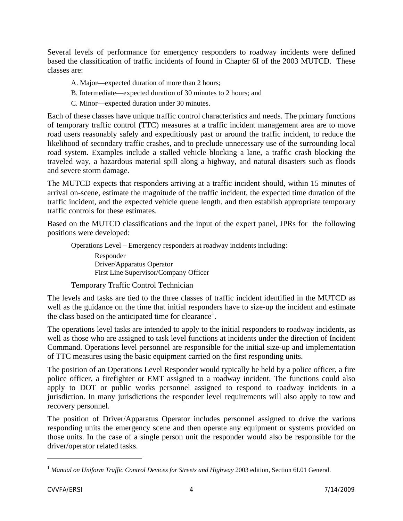Several levels of performance for emergency responders to roadway incidents were defined based the classification of traffic incidents of found in Chapter 6I of the 2003 MUTCD. These classes are:

- A. Major—expected duration of more than 2 hours;
- B. Intermediate—expected duration of 30 minutes to 2 hours; and
- C. Minor—expected duration under 30 minutes.

Each of these classes have unique traffic control characteristics and needs. The primary functions of temporary traffic control (TTC) measures at a traffic incident management area are to move road users reasonably safely and expeditiously past or around the traffic incident, to reduce the likelihood of secondary traffic crashes, and to preclude unnecessary use of the surrounding local road system. Examples include a stalled vehicle blocking a lane, a traffic crash blocking the traveled way, a hazardous material spill along a highway, and natural disasters such as floods and severe storm damage.

The MUTCD expects that responders arriving at a traffic incident should, within 15 minutes of arrival on-scene, estimate the magnitude of the traffic incident, the expected time duration of the traffic incident, and the expected vehicle queue length, and then establish appropriate temporary traffic controls for these estimates.

Based on the MUTCD classifications and the input of the expert panel, JPRs for the following positions were developed:

Operations Level – Emergency responders at roadway incidents including:

 Responder Driver/Apparatus Operator First Line Supervisor/Company Officer

Temporary Traffic Control Technician

The levels and tasks are tied to the three classes of traffic incident identified in the MUTCD as well as the guidance on the time that initial responders have to size-up the incident and estimate the class based on the anticipated time for clearance<sup>[1](#page-3-0)</sup>.

The operations level tasks are intended to apply to the initial responders to roadway incidents, as well as those who are assigned to task level functions at incidents under the direction of Incident Command. Operations level personnel are responsible for the initial size-up and implementation of TTC measures using the basic equipment carried on the first responding units.

The position of an Operations Level Responder would typically be held by a police officer, a fire police officer, a firefighter or EMT assigned to a roadway incident. The functions could also apply to DOT or public works personnel assigned to respond to roadway incidents in a jurisdiction. In many jurisdictions the responder level requirements will also apply to tow and recovery personnel.

The position of Driver/Apparatus Operator includes personnel assigned to drive the various responding units the emergency scene and then operate any equipment or systems provided on those units. In the case of a single person unit the responder would also be responsible for the driver/operator related tasks.

 $\overline{a}$ 

<span id="page-3-0"></span><sup>&</sup>lt;sup>1</sup> Manual on Uniform Traffic Control Devices for Streets and Highway 2003 edition, Section 6I.01 General.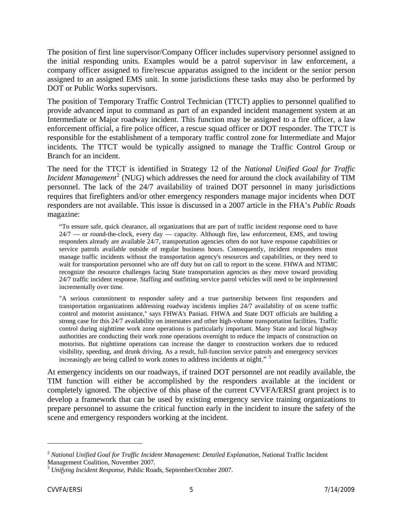The position of first line supervisor/Company Officer includes supervisory personnel assigned to the initial responding units. Examples would be a patrol supervisor in law enforcement, a company officer assigned to fire/rescue apparatus assigned to the incident or the senior person assigned to an assigned EMS unit. In some jurisdictions these tasks may also be performed by DOT or Public Works supervisors.

The position of Temporary Traffic Control Technician (TTCT) applies to personnel qualified to provide advanced input to command as part of an expanded incident management system at an Intermediate or Major roadway incident. This function may be assigned to a fire officer, a law enforcement official, a fire police officer, a rescue squad officer or DOT responder. The TTCT is responsible for the establishment of a temporary traffic control zone for Intermediate and Major incidents. The TTCT would be typically assigned to manage the Traffic Control Group or Branch for an incident.

The need for the TTCT is identified in Strategy 12 of the *National Unified Goal for Traffic Incident Management*<sup>[2](#page-4-0)</sup> (NUG) which addresses the need for around the clock availability of TIM personnel. The lack of the 24/7 availability of trained DOT personnel in many jurisdictions requires that firefighters and/or other emergency responders manage major incidents when DOT responders are not available. This issue is discussed in a 2007 article in the FHA's *Public Roads* magazine:

"To ensure safe, quick clearance, all organizations that are part of traffic incident response need to have 24/7 — or round-the-clock, every day — capacity. Although fire, law enforcement, EMS, and towing responders already are available 24/7, transportation agencies often do not have response capabilities or service patrols available outside of regular business hours. Consequently, incident responders must manage traffic incidents without the transportation agency's resources and capabilities, or they need to wait for transportation personnel who are off duty but on call to report to the scene. FHWA and NTIMC recognize the resource challenges facing State transportation agencies as they move toward providing 24/7 traffic incident response. Staffing and outfitting service patrol vehicles will need to be implemented incrementally over time.

"A serious commitment to responder safety and a true partnership between first responders and transportation organizations addressing roadway incidents implies 24/7 availability of on scene traffic control and motorist assistance," says FHWA's Paniati. FHWA and State DOT officials are building a strong case for this 24/7 availability on interstates and other high-volume transportation facilities. Traffic control during nighttime work zone operations is particularly important. Many State and local highway authorities are conducting their work zone operations overnight to reduce the impacts of construction on motorists. But nighttime operations can increase the danger to construction workers due to reduced visibility, speeding, and drunk driving. As a result, full-function service patrols and emergency services increasingly are being called to work zones to address incidents at night."  $3$ 

At emergency incidents on our roadways, if trained DOT personnel are not readily available, the TIM function will either be accomplished by the responders available at the incident or completely ignored. The objective of this phase of the current CVVFA/ERSI grant project is to develop a framework that can be used by existing emergency service training organizations to prepare personnel to assume the critical function early in the incident to insure the safety of the scene and emergency responders working at the incident.

 $\overline{a}$ 

<span id="page-4-0"></span><sup>&</sup>lt;sup>2</sup> *National Unified Goal for Traffic Incident Management: Detailed Explanation*, National Traffic Incident Management Coalition, November 2007.

<span id="page-4-1"></span><sup>&</sup>lt;sup>3</sup> Unifying Incident Response, Public Roads, September/October 2007.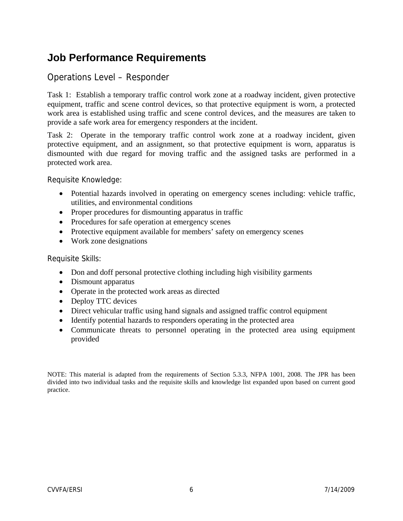## <span id="page-5-0"></span>**Job Performance Requirements**

## <span id="page-5-1"></span>Operations Level – Responder

Task 1: Establish a temporary traffic control work zone at a roadway incident, given protective equipment, traffic and scene control devices, so that protective equipment is worn, a protected work area is established using traffic and scene control devices, and the measures are taken to provide a safe work area for emergency responders at the incident.

Task 2: Operate in the temporary traffic control work zone at a roadway incident, given protective equipment, and an assignment, so that protective equipment is worn, apparatus is dismounted with due regard for moving traffic and the assigned tasks are performed in a protected work area.

<span id="page-5-2"></span>Requisite Knowledge:

- Potential hazards involved in operating on emergency scenes including: vehicle traffic, utilities, and environmental conditions
- Proper procedures for dismounting apparatus in traffic
- Procedures for safe operation at emergency scenes
- Protective equipment available for members' safety on emergency scenes
- Work zone designations

<span id="page-5-3"></span>Requisite Skills:

- Don and doff personal protective clothing including high visibility garments
- Dismount apparatus
- Operate in the protected work areas as directed
- Deploy TTC devices
- Direct vehicular traffic using hand signals and assigned traffic control equipment
- Identify potential hazards to responders operating in the protected area
- Communicate threats to personnel operating in the protected area using equipment provided

NOTE: This material is adapted from the requirements of Section 5.3.3, NFPA 1001, 2008. The JPR has been divided into two individual tasks and the requisite skills and knowledge list expanded upon based on current good practice.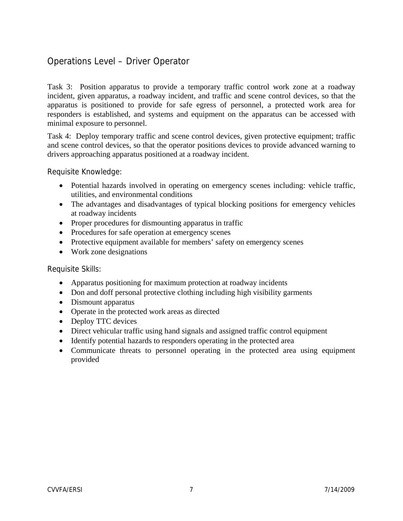## <span id="page-6-0"></span>Operations Level – Driver Operator

Task 3: Position apparatus to provide a temporary traffic control work zone at a roadway incident, given apparatus, a roadway incident, and traffic and scene control devices, so that the apparatus is positioned to provide for safe egress of personnel, a protected work area for responders is established, and systems and equipment on the apparatus can be accessed with minimal exposure to personnel.

Task 4: Deploy temporary traffic and scene control devices, given protective equipment; traffic and scene control devices, so that the operator positions devices to provide advanced warning to drivers approaching apparatus positioned at a roadway incident.

<span id="page-6-1"></span>Requisite Knowledge:

- Potential hazards involved in operating on emergency scenes including: vehicle traffic, utilities, and environmental conditions
- The advantages and disadvantages of typical blocking positions for emergency vehicles at roadway incidents
- Proper procedures for dismounting apparatus in traffic
- Procedures for safe operation at emergency scenes
- Protective equipment available for members' safety on emergency scenes
- Work zone designations

#### <span id="page-6-2"></span>Requisite Skills:

- Apparatus positioning for maximum protection at roadway incidents
- Don and doff personal protective clothing including high visibility garments
- Dismount apparatus
- Operate in the protected work areas as directed
- Deploy TTC devices
- Direct vehicular traffic using hand signals and assigned traffic control equipment
- Identify potential hazards to responders operating in the protected area
- Communicate threats to personnel operating in the protected area using equipment provided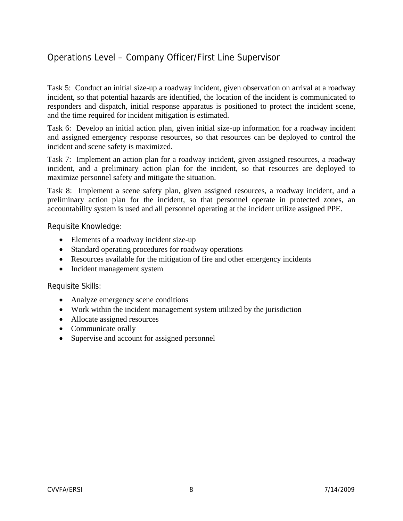## <span id="page-7-0"></span>Operations Level – Company Officer/First Line Supervisor

Task 5: Conduct an initial size-up a roadway incident, given observation on arrival at a roadway incident, so that potential hazards are identified, the location of the incident is communicated to responders and dispatch, initial response apparatus is positioned to protect the incident scene, and the time required for incident mitigation is estimated.

Task 6: Develop an initial action plan, given initial size-up information for a roadway incident and assigned emergency response resources, so that resources can be deployed to control the incident and scene safety is maximized.

Task 7: Implement an action plan for a roadway incident, given assigned resources, a roadway incident, and a preliminary action plan for the incident, so that resources are deployed to maximize personnel safety and mitigate the situation.

Task 8: Implement a scene safety plan, given assigned resources, a roadway incident, and a preliminary action plan for the incident, so that personnel operate in protected zones, an accountability system is used and all personnel operating at the incident utilize assigned PPE.

<span id="page-7-1"></span>Requisite Knowledge:

- Elements of a roadway incident size-up
- Standard operating procedures for roadway operations
- Resources available for the mitigation of fire and other emergency incidents
- Incident management system

<span id="page-7-2"></span>Requisite Skills:

- Analyze emergency scene conditions
- Work within the incident management system utilized by the jurisdiction
- Allocate assigned resources
- Communicate orally
- Supervise and account for assigned personnel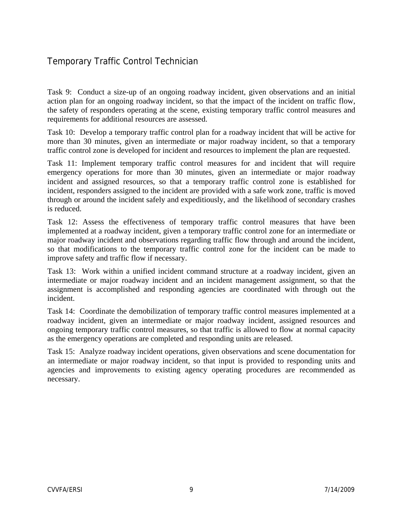## <span id="page-8-0"></span>Temporary Traffic Control Technician

Task 9: Conduct a size-up of an ongoing roadway incident, given observations and an initial action plan for an ongoing roadway incident, so that the impact of the incident on traffic flow, the safety of responders operating at the scene, existing temporary traffic control measures and requirements for additional resources are assessed.

Task 10: Develop a temporary traffic control plan for a roadway incident that will be active for more than 30 minutes, given an intermediate or major roadway incident, so that a temporary traffic control zone is developed for incident and resources to implement the plan are requested.

Task 11: Implement temporary traffic control measures for and incident that will require emergency operations for more than 30 minutes, given an intermediate or major roadway incident and assigned resources, so that a temporary traffic control zone is established for incident, responders assigned to the incident are provided with a safe work zone, traffic is moved through or around the incident safely and expeditiously, and the likelihood of secondary crashes is reduced.

Task 12: Assess the effectiveness of temporary traffic control measures that have been implemented at a roadway incident, given a temporary traffic control zone for an intermediate or major roadway incident and observations regarding traffic flow through and around the incident, so that modifications to the temporary traffic control zone for the incident can be made to improve safety and traffic flow if necessary.

Task 13: Work within a unified incident command structure at a roadway incident, given an intermediate or major roadway incident and an incident management assignment, so that the assignment is accomplished and responding agencies are coordinated with through out the incident.

Task 14: Coordinate the demobilization of temporary traffic control measures implemented at a roadway incident, given an intermediate or major roadway incident, assigned resources and ongoing temporary traffic control measures, so that traffic is allowed to flow at normal capacity as the emergency operations are completed and responding units are released.

Task 15: Analyze roadway incident operations, given observations and scene documentation for an intermediate or major roadway incident, so that input is provided to responding units and agencies and improvements to existing agency operating procedures are recommended as necessary.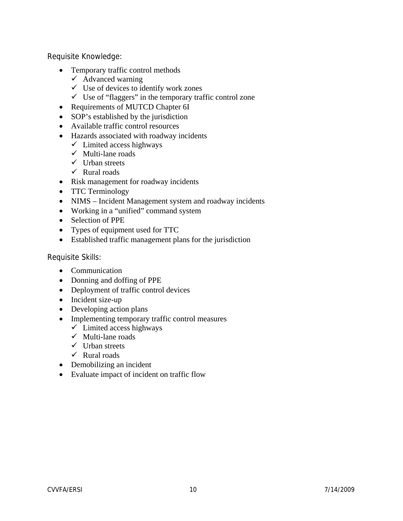<span id="page-9-0"></span>Requisite Knowledge:

- Temporary traffic control methods
	- $\checkmark$  Advanced warning
	- $\checkmark$  Use of devices to identify work zones
	- $\checkmark$  Use of "flaggers" in the temporary traffic control zone
- Requirements of MUTCD Chapter 6I
- SOP's established by the jurisdiction
- Available traffic control resources
- Hazards associated with roadway incidents
	- $\checkmark$  Limited access highways
	- $\checkmark$  Multi-lane roads
	- $\checkmark$  Urban streets
	- $\checkmark$  Rural roads
- Risk management for roadway incidents
- TTC Terminology
- NIMS Incident Management system and roadway incidents
- Working in a "unified" command system
- Selection of PPE
- Types of equipment used for TTC
- Established traffic management plans for the jurisdiction

<span id="page-9-1"></span>Requisite Skills:

- Communication
- Donning and doffing of PPE
- Deployment of traffic control devices
- Incident size-up
- Developing action plans
- Implementing temporary traffic control measures
	- $\checkmark$  Limited access highways
	- $\checkmark$  Multi-lane roads
	- $\checkmark$  Urban streets
	- $\checkmark$  Rural roads
- Demobilizing an incident
- Evaluate impact of incident on traffic flow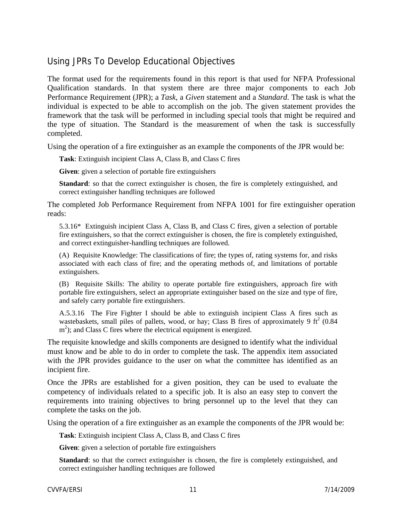## <span id="page-10-0"></span>Using JPRs To Develop Educational Objectives

The format used for the requirements found in this report is that used for NFPA Professional Qualification standards. In that system there are three major components to each Job Performance Requirement (JPR); a *Task*, a *Given* statement and a *Standard*. The task is what the individual is expected to be able to accomplish on the job. The given statement provides the framework that the task will be performed in including special tools that might be required and the type of situation. The Standard is the measurement of when the task is successfully completed.

Using the operation of a fire extinguisher as an example the components of the JPR would be:

**Task**: Extinguish incipient Class A, Class B, and Class C fires

**Given**: given a selection of portable fire extinguishers

**Standard**: so that the correct extinguisher is chosen, the fire is completely extinguished, and correct extinguisher handling techniques are followed

The completed Job Performance Requirement from NFPA 1001 for fire extinguisher operation reads:

5.3.16\* Extinguish incipient Class A, Class B, and Class C fires, given a selection of portable fire extinguishers, so that the correct extinguisher is chosen, the fire is completely extinguished, and correct extinguisher-handling techniques are followed.

(A) Requisite Knowledge: The classifications of fire; the types of, rating systems for, and risks associated with each class of fire; and the operating methods of, and limitations of portable extinguishers.

(B) Requisite Skills: The ability to operate portable fire extinguishers, approach fire with portable fire extinguishers, select an appropriate extinguisher based on the size and type of fire, and safely carry portable fire extinguishers.

A.5.3.16 The Fire Fighter I should be able to extinguish incipient Class A fires such as wastebaskets, small piles of pallets, wood, or hay; Class B fires of approximately 9 ft<sup>2</sup> (0.84  $(m<sup>2</sup>)$ ; and Class C fires where the electrical equipment is energized.

The requisite knowledge and skills components are designed to identify what the individual must know and be able to do in order to complete the task. The appendix item associated with the JPR provides guidance to the user on what the committee has identified as an incipient fire.

Once the JPRs are established for a given position, they can be used to evaluate the competency of individuals related to a specific job. It is also an easy step to convert the requirements into training objectives to bring personnel up to the level that they can complete the tasks on the job.

Using the operation of a fire extinguisher as an example the components of the JPR would be:

**Task**: Extinguish incipient Class A, Class B, and Class C fires

**Given**: given a selection of portable fire extinguishers

**Standard**: so that the correct extinguisher is chosen, the fire is completely extinguished, and correct extinguisher handling techniques are followed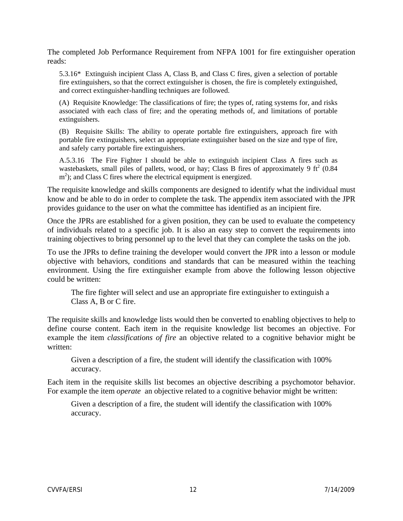The completed Job Performance Requirement from NFPA 1001 for fire extinguisher operation reads:

5.3.16\* Extinguish incipient Class A, Class B, and Class C fires, given a selection of portable fire extinguishers, so that the correct extinguisher is chosen, the fire is completely extinguished, and correct extinguisher-handling techniques are followed.

(A) Requisite Knowledge: The classifications of fire; the types of, rating systems for, and risks associated with each class of fire; and the operating methods of, and limitations of portable extinguishers.

(B) Requisite Skills: The ability to operate portable fire extinguishers, approach fire with portable fire extinguishers, select an appropriate extinguisher based on the size and type of fire, and safely carry portable fire extinguishers.

A.5.3.16 The Fire Fighter I should be able to extinguish incipient Class A fires such as wastebaskets, small piles of pallets, wood, or hay; Class B fires of approximately 9 ft<sup>2</sup> (0.84)  $(m<sup>2</sup>)$ ; and Class C fires where the electrical equipment is energized.

The requisite knowledge and skills components are designed to identify what the individual must know and be able to do in order to complete the task. The appendix item associated with the JPR provides guidance to the user on what the committee has identified as an incipient fire.

Once the JPRs are established for a given position, they can be used to evaluate the competency of individuals related to a specific job. It is also an easy step to convert the requirements into training objectives to bring personnel up to the level that they can complete the tasks on the job.

To use the JPRs to define training the developer would convert the JPR into a lesson or module objective with behaviors, conditions and standards that can be measured within the teaching environment. Using the fire extinguisher example from above the following lesson objective could be written:

The fire fighter will select and use an appropriate fire extinguisher to extinguish a Class A, B or C fire.

The requisite skills and knowledge lists would then be converted to enabling objectives to help to define course content. Each item in the requisite knowledge list becomes an objective. For example the item *classifications of fire* an objective related to a cognitive behavior might be written:

Given a description of a fire, the student will identify the classification with 100% accuracy.

Each item in the requisite skills list becomes an objective describing a psychomotor behavior. For example the item *operate* an objective related to a cognitive behavior might be written:

Given a description of a fire, the student will identify the classification with 100% accuracy.